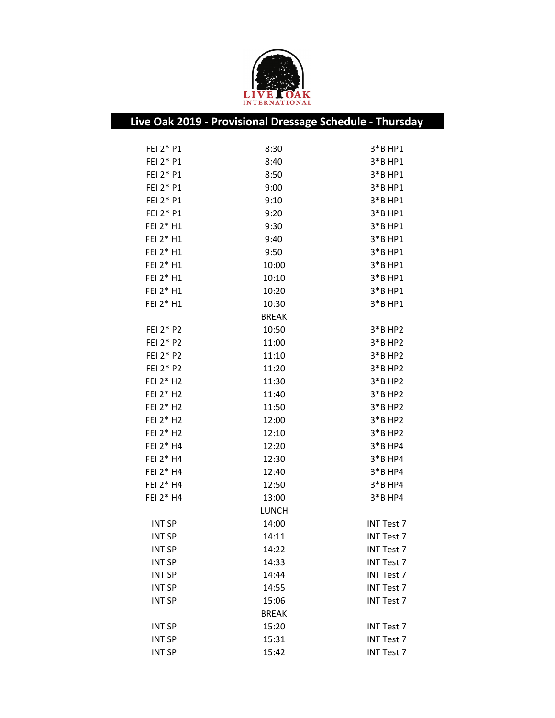

|               | Live Oak 2019 - Provisional Dressage Schedule - Thursday |                   |
|---------------|----------------------------------------------------------|-------------------|
|               |                                                          |                   |
| FEI 2* P1     | 8:30                                                     | 3*B HP1           |
| FEI 2* P1     | 8:40                                                     | 3*B HP1           |
| FEI 2* P1     | 8:50                                                     | 3*B HP1           |
| FEI 2* P1     | 9:00                                                     | 3*B HP1           |
| FEI 2* P1     | 9:10                                                     | $3*$ BHP1         |
| FEI 2* P1     | 9:20                                                     | 3*B HP1           |
| FEI 2* H1     | 9:30                                                     | 3*B HP1           |
| FEI 2* H1     | 9:40                                                     | 3*B HP1           |
| FEI 2* H1     | 9:50                                                     | 3*B HP1           |
| FEI 2* H1     | 10:00                                                    | 3*B HP1           |
| FEI 2* H1     | 10:10                                                    | 3*B HP1           |
| FEI 2* H1     | 10:20                                                    | 3*B HP1           |
| FEI 2* H1     | 10:30                                                    | 3*B HP1           |
|               | <b>BREAK</b>                                             |                   |
| FEI 2* P2     | 10:50                                                    | $3*$ BHP2         |
| FEI 2* P2     | 11:00                                                    | $3*B$ HP2         |
| FEI 2* P2     | 11:10                                                    | $3*B$ HP2         |
| FEI 2* P2     | 11:20                                                    | 3*B HP2           |
| FEI 2* H2     | 11:30                                                    | $3*B$ HP2         |
| FEI 2* H2     | 11:40                                                    | $3*B$ HP2         |
| FEI 2* H2     | 11:50                                                    | $3*B$ HP2         |
| FEI 2* H2     | 12:00                                                    | $3*B$ HP2         |
| FEI 2* H2     | 12:10                                                    | 3*B HP2           |
| FEI 2* H4     | 12:20                                                    | $3*B$ HP4         |
| FEI 2* H4     | 12:30                                                    | $3*B$ HP4         |
| FEI 2* H4     | 12:40                                                    | $3*BBHP4$         |
| FEI 2* H4     | 12:50                                                    | $3*B$ HP4         |
| FEI 2* H4     | 13:00                                                    | $3*B$ HP4         |
|               | <b>LUNCH</b>                                             |                   |
| <b>INT SP</b> | 14:00                                                    | <b>INT Test 7</b> |
| <b>INT SP</b> | 14:11                                                    | INT Test 7        |
| <b>INT SP</b> | 14:22                                                    | INT Test 7        |
| <b>INT SP</b> | 14:33                                                    | <b>INT Test 7</b> |
| <b>INT SP</b> | 14:44                                                    | <b>INT Test 7</b> |
| <b>INT SP</b> | 14:55                                                    | <b>INT Test 7</b> |
| <b>INT SP</b> | 15:06                                                    | <b>INT Test 7</b> |
|               | <b>BREAK</b>                                             |                   |
| <b>INT SP</b> | 15:20                                                    | <b>INT Test 7</b> |
| <b>INT SP</b> | 15:31                                                    | <b>INT Test 7</b> |
| <b>INT SP</b> | 15:42                                                    | INT Test 7        |